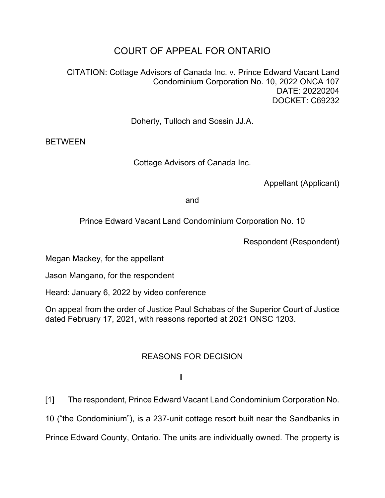## COURT OF APPEAL FOR ONTARIO

CITATION: Cottage Advisors of Canada Inc. v. Prince Edward Vacant Land Condominium Corporation No. 10, 2022 ONCA 107 DATE: 20220204 DOCKET: C69232

Doherty, Tulloch and Sossin JJ.A.

BETWEEN

Cottage Advisors of Canada Inc.

Appellant (Applicant)

and

Prince Edward Vacant Land Condominium Corporation No. 10

Respondent (Respondent)

Megan Mackey, for the appellant

Jason Mangano, for the respondent

Heard: January 6, 2022 by video conference

On appeal from the order of Justice Paul Schabas of the Superior Court of Justice dated February 17, 2021, with reasons reported at 2021 ONSC 1203.

## REASONS FOR DECISION

**I**

[1] The respondent, Prince Edward Vacant Land Condominium Corporation No.

10 ("the Condominium"), is a 237-unit cottage resort built near the Sandbanks in

Prince Edward County, Ontario. The units are individually owned. The property is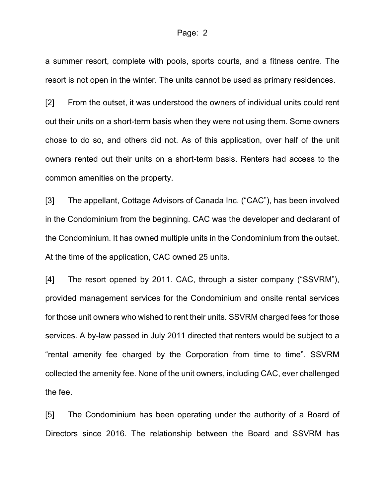a summer resort, complete with pools, sports courts, and a fitness centre. The resort is not open in the winter. The units cannot be used as primary residences.

[2] From the outset, it was understood the owners of individual units could rent out their units on a short-term basis when they were not using them. Some owners chose to do so, and others did not. As of this application, over half of the unit owners rented out their units on a short-term basis. Renters had access to the common amenities on the property.

[3] The appellant, Cottage Advisors of Canada Inc. ("CAC"), has been involved in the Condominium from the beginning. CAC was the developer and declarant of the Condominium. It has owned multiple units in the Condominium from the outset. At the time of the application, CAC owned 25 units.

[4] The resort opened by 2011. CAC, through a sister company ("SSVRM"), provided management services for the Condominium and onsite rental services for those unit owners who wished to rent their units. SSVRM charged fees for those services. A by-law passed in July 2011 directed that renters would be subject to a "rental amenity fee charged by the Corporation from time to time". SSVRM collected the amenity fee. None of the unit owners, including CAC, ever challenged the fee.

[5] The Condominium has been operating under the authority of a Board of Directors since 2016. The relationship between the Board and SSVRM has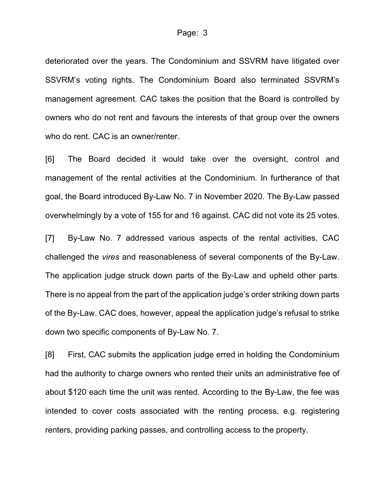deteriorated over the years. The Condominium and SSVRM have litigated over SSVRM's voting rights. The Condominium Board also terminated SSVRM's management agreement. CAC takes the position that the Board is controlled by owners who do not rent and favours the interests of that group over the owners who do rent. CAC is an owner/renter.

[6] The Board decided it would take over the oversight, control and management of the rental activities at the Condominium. In furtherance of that goal, the Board introduced By-Law No. 7 in November 2020. The By-Law passed overwhelmingly by a vote of 155 for and 16 against. CAC did not vote its 25 votes.

[7] By-Law No. 7 addressed various aspects of the rental activities. CAC challenged the *vires* and reasonableness of several components of the By-Law. The application judge struck down parts of the By-Law and upheld other parts. There is no appeal from the part of the application judge's order striking down parts of the By-Law. CAC does, however, appeal the application judge's refusal to strike down two specific components of By-Law No. 7.

[8] First, CAC submits the application judge erred in holding the Condominium had the authority to charge owners who rented their units an administrative fee of about \$120 each time the unit was rented. According to the By-Law, the fee was intended to cover costs associated with the renting process, e.g. registering renters, providing parking passes, and controlling access to the property.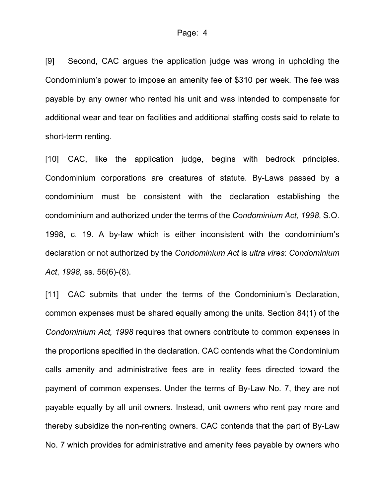[9] Second, CAC argues the application judge was wrong in upholding the Condominium's power to impose an amenity fee of \$310 per week. The fee was payable by any owner who rented his unit and was intended to compensate for additional wear and tear on facilities and additional staffing costs said to relate to short-term renting.

[10] CAC, like the application judge, begins with bedrock principles. Condominium corporations are creatures of statute. By-Laws passed by a condominium must be consistent with the declaration establishing the condominium and authorized under the terms of the *Condominium Act, 1998*, S.O. 1998, c. 19. A by-law which is either inconsistent with the condominium's declaration or not authorized by the *Condominium Act* is *ultra vires*: *Condominium Act*, *1998,* ss. 56(6)-(8).

[11] CAC submits that under the terms of the Condominium's Declaration, common expenses must be shared equally among the units. Section 84(1) of the *Condominium Act, 1998* requires that owners contribute to common expenses in the proportions specified in the declaration. CAC contends what the Condominium calls amenity and administrative fees are in reality fees directed toward the payment of common expenses. Under the terms of By-Law No. 7, they are not payable equally by all unit owners. Instead, unit owners who rent pay more and thereby subsidize the non-renting owners. CAC contends that the part of By-Law No. 7 which provides for administrative and amenity fees payable by owners who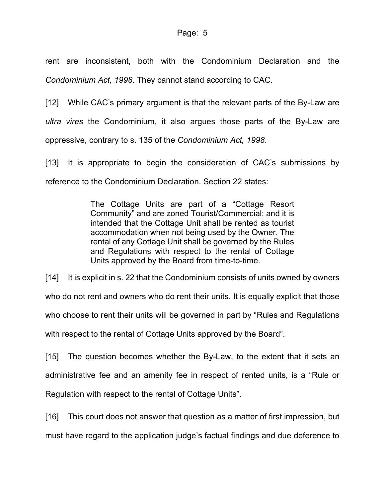rent are inconsistent, both with the Condominium Declaration and the *Condominium Act, 1998*. They cannot stand according to CAC.

[12] While CAC's primary argument is that the relevant parts of the By-Law are *ultra vires* the Condominium, it also argues those parts of the By-Law are oppressive, contrary to s. 135 of the *Condominium Act, 1998*.

[13] It is appropriate to begin the consideration of CAC's submissions by reference to the Condominium Declaration. Section 22 states:

> The Cottage Units are part of a "Cottage Resort Community" and are zoned Tourist/Commercial; and it is intended that the Cottage Unit shall be rented as tourist accommodation when not being used by the Owner. The rental of any Cottage Unit shall be governed by the Rules and Regulations with respect to the rental of Cottage Units approved by the Board from time-to-time.

[14] It is explicit in s. 22 that the Condominium consists of units owned by owners who do not rent and owners who do rent their units. It is equally explicit that those who choose to rent their units will be governed in part by "Rules and Regulations with respect to the rental of Cottage Units approved by the Board".

[15] The question becomes whether the By-Law, to the extent that it sets an administrative fee and an amenity fee in respect of rented units, is a "Rule or Regulation with respect to the rental of Cottage Units".

[16] This court does not answer that question as a matter of first impression, but must have regard to the application judge's factual findings and due deference to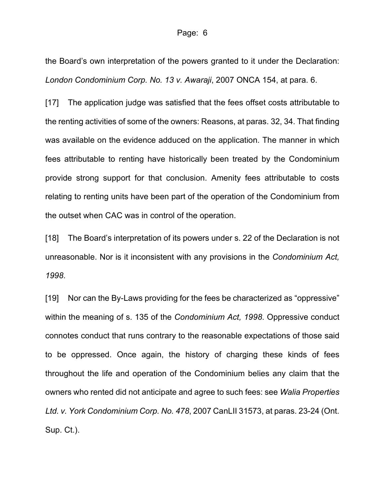the Board's own interpretation of the powers granted to it under the Declaration: *London Condominium Corp. No. 13 v. Awaraji*, 2007 ONCA 154, at para. 6.

[17] The application judge was satisfied that the fees offset costs attributable to the renting activities of some of the owners: Reasons, at paras. 32, 34. That finding was available on the evidence adduced on the application. The manner in which fees attributable to renting have historically been treated by the Condominium provide strong support for that conclusion. Amenity fees attributable to costs relating to renting units have been part of the operation of the Condominium from the outset when CAC was in control of the operation.

[18] The Board's interpretation of its powers under s. 22 of the Declaration is not unreasonable. Nor is it inconsistent with any provisions in the *Condominium Act, 1998*.

[19] Nor can the By-Laws providing for the fees be characterized as "oppressive" within the meaning of s. 135 of the *Condominium Act, 1998*. Oppressive conduct connotes conduct that runs contrary to the reasonable expectations of those said to be oppressed. Once again, the history of charging these kinds of fees throughout the life and operation of the Condominium belies any claim that the owners who rented did not anticipate and agree to such fees: see *Walia Properties Ltd. v. York Condominium Corp. No. 478*, 2007 CanLII 31573, at paras. 23-24 (Ont. Sup. Ct.).